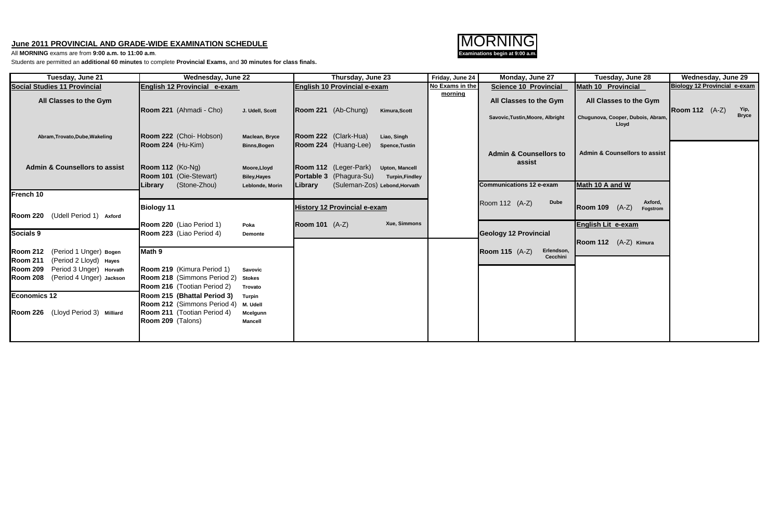## **June 2011 PROVINCIAL AND GRADE-WIDE EXAMINATION SCHEDULE**

All **MORNING** exams are from **9:00 a.m. to 11:00 a.m**.

Students are permitted an **additional 60 minutes** to complete **Provincial Exams,** and **30 minutes for class finals.**

| Tuesday, June 21                                                             | Wednesday, June 22                                                                                                                     | Thursday, June 23                                                                                                                               | Friday, June 24 | Monday, June 27                                            | Tuesday, June 28                                            | Wednesday, June 29                            |
|------------------------------------------------------------------------------|----------------------------------------------------------------------------------------------------------------------------------------|-------------------------------------------------------------------------------------------------------------------------------------------------|-----------------|------------------------------------------------------------|-------------------------------------------------------------|-----------------------------------------------|
| <b>Social Studies 11 Provincial</b>                                          | English 12 Provincial e-exam                                                                                                           | English 10 Provincial e-exam                                                                                                                    | No Exams in the | <b>Science 10 Provincial</b>                               | <b>Math 10 Provincial</b>                                   | <b>Biology 12 Provincial e-exam</b>           |
| All Classes to the Gym                                                       | Room 221 (Ahmadi - Cho)<br>J. Udell, Scott                                                                                             | Room 221 (Ab-Chung)<br>Kimura, Scott                                                                                                            | morning         | All Classes to the Gym<br>Savovic, Tustin, Moore, Albright | All Classes to the Gym<br>Chugunova, Cooper, Dubois, Abram, | Yip,<br><b>Room 112</b> (A-Z)<br><b>Bryce</b> |
| Abram, Trovato, Dube, Wakeling                                               | Room 222 (Choi- Hobson)<br>Maclean, Bryce<br>Room 224 (Hu-Kim)<br><b>Binns, Bogen</b>                                                  | Room 222 (Clark-Hua)<br>Liao, Singh<br>Room 224 (Huang-Lee)<br><b>Spence, Tustin</b>                                                            |                 | <b>Admin &amp; Counsellors to</b>                          | Lloyd<br><b>Admin &amp; Counsellors to assist</b>           |                                               |
| <b>Admin &amp; Counsellors to assist</b>                                     | Room 112 (Ko-Ng)<br>Moore, Lloyd<br>Room 101 (Oie-Stewart)<br><b>Biley, Hayes</b><br>(Stone-Zhou)<br>Library<br>Leblonde, Morin        | Room 112 (Leger-Park)<br><b>Upton, Mancell</b><br>Portable 3 (Phagura-Su)<br><b>Turpin, Findley</b><br>(Suleman-Zos) Lebond, Horvath<br>Library |                 | assist<br><b>Communications 12 e-exam</b>                  | Math 10 A and W                                             |                                               |
| French 10                                                                    |                                                                                                                                        |                                                                                                                                                 |                 |                                                            |                                                             |                                               |
| Room 220 (Udell Period 1) Axford                                             | <b>Biology 11</b>                                                                                                                      | <b>History 12 Provincial e-exam</b>                                                                                                             |                 | Room 112 (A-Z)<br><b>Dube</b>                              | Axford,<br><b>Room 109</b> (A-Z)<br>Fogstrom                |                                               |
|                                                                              | Room 220 (Liao Period 1)<br>Poka                                                                                                       | Xue, Simmons<br><b>Room 101</b> (A-Z)                                                                                                           |                 |                                                            | <b>English Lit e-exam</b>                                   |                                               |
| Socials 9                                                                    | Room 223 (Liao Period 4)<br>Demonte                                                                                                    |                                                                                                                                                 |                 | <b>Geology 12 Provincial</b>                               | Room 112 (A-Z) Kimura                                       |                                               |
| Room 212 (Period 1 Unger) Bogen<br><b>Room 211</b><br>(Period 2 Lloyd) Hayes | Math 9                                                                                                                                 |                                                                                                                                                 |                 | Erlendson,<br><b>Room 115</b> (A-Z)<br>Cecchini            |                                                             |                                               |
| Room 209 Period 3 Unger) Horvath<br>Room 208 (Period 4 Unger) Jackson        | Room 219 (Kimura Period 1)<br><b>Savovic</b><br>Room 218 (Simmons Period 2)<br><b>Stokes</b><br>Room 216 (Tootian Period 2)<br>Trovato |                                                                                                                                                 |                 |                                                            |                                                             |                                               |
| <b>Economics 12</b>                                                          | Room 215 (Bhattal Period 3)<br><b>Turpin</b><br>Room 212 (Simmons Period 4)<br>M. Udell                                                |                                                                                                                                                 |                 |                                                            |                                                             |                                               |
| Room 226 (Lloyd Period 3) Milliard                                           | Room 211 (Tootian Period 4)<br>Mcelgunn<br>Room 209 (Talons)<br><b>Mancell</b>                                                         |                                                                                                                                                 |                 |                                                            |                                                             |                                               |
|                                                                              |                                                                                                                                        |                                                                                                                                                 |                 |                                                            |                                                             |                                               |